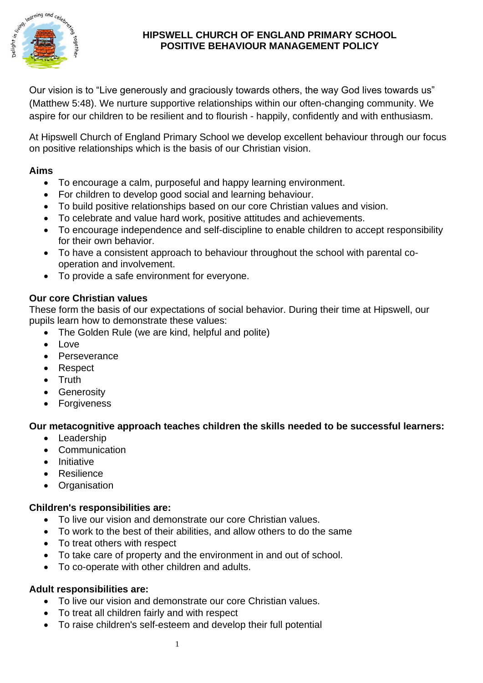

#### **HIPSWELL CHURCH OF ENGLAND PRIMARY SCHOOL POSITIVE BEHAVIOUR MANAGEMENT POLICY**

Our vision is to "Live generously and graciously towards others, the way God lives towards us" (Matthew 5:48). We nurture supportive relationships within our often-changing community. We aspire for our children to be resilient and to flourish - happily, confidently and with enthusiasm.

At Hipswell Church of England Primary School we develop excellent behaviour through our focus on positive relationships which is the basis of our Christian vision.

### **Aims**

- To encourage a calm, purposeful and happy learning environment.
- For children to develop good social and learning behaviour.
- To build positive relationships based on our core Christian values and vision.
- To celebrate and value hard work, positive attitudes and achievements.
- To encourage independence and self-discipline to enable children to accept responsibility for their own behavior.
- To have a consistent approach to behaviour throughout the school with parental cooperation and involvement.
- To provide a safe environment for everyone.

### **Our core Christian values**

These form the basis of our expectations of social behavior. During their time at Hipswell, our pupils learn how to demonstrate these values:

- The Golden Rule (we are kind, helpful and polite)
- Love
- Perseverance
- Respect
- Truth
- Generosity
- Forgiveness

# **Our metacognitive approach teaches children the skills needed to be successful learners:**

- Leadership
- Communication
- Initiative
- Resilience
- Organisation

# **Children's responsibilities are:**

- To live our vision and demonstrate our core Christian values.
- To work to the best of their abilities, and allow others to do the same
- To treat others with respect
- To take care of property and the environment in and out of school.
- To co-operate with other children and adults.

# **Adult responsibilities are:**

- To live our vision and demonstrate our core Christian values.
- To treat all children fairly and with respect
- To raise children's self-esteem and develop their full potential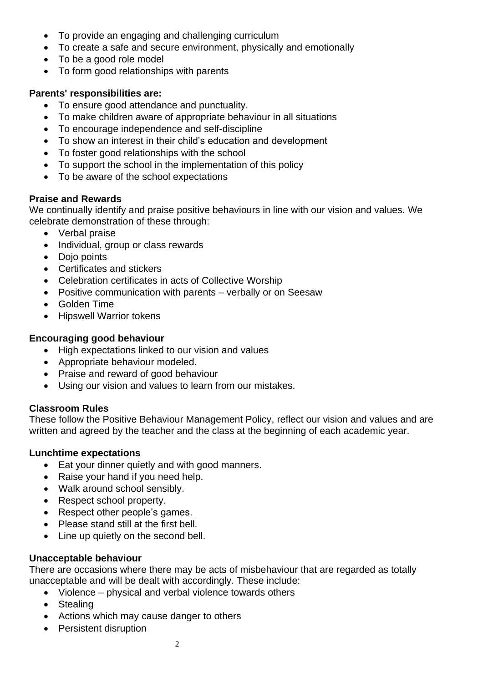- To provide an engaging and challenging curriculum
- To create a safe and secure environment, physically and emotionally
- To be a good role model
- To form good relationships with parents

### **Parents' responsibilities are:**

- To ensure good attendance and punctuality.
- To make children aware of appropriate behaviour in all situations
- To encourage independence and self-discipline
- To show an interest in their child's education and development
- To foster good relationships with the school
- To support the school in the implementation of this policy
- To be aware of the school expectations

### **Praise and Rewards**

We continually identify and praise positive behaviours in line with our vision and values. We celebrate demonstration of these through:

- Verbal praise
- Individual, group or class rewards
- Dojo points
- Certificates and stickers
- Celebration certificates in acts of Collective Worship
- Positive communication with parents verbally or on Seesaw
- Golden Time
- Hipswell Warrior tokens

### **Encouraging good behaviour**

- High expectations linked to our vision and values
- Appropriate behaviour modeled.
- Praise and reward of good behaviour
- Using our vision and values to learn from our mistakes.

### **Classroom Rules**

These follow the Positive Behaviour Management Policy, reflect our vision and values and are written and agreed by the teacher and the class at the beginning of each academic year.

#### **Lunchtime expectations**

- Eat your dinner quietly and with good manners.
- Raise your hand if you need help.
- Walk around school sensibly.
- Respect school property.
- Respect other people's games.
- Please stand still at the first bell.
- Line up quietly on the second bell.

#### **Unacceptable behaviour**

There are occasions where there may be acts of misbehaviour that are regarded as totally unacceptable and will be dealt with accordingly. These include:

- Violence physical and verbal violence towards others
- Stealing
- Actions which may cause danger to others
- Persistent disruption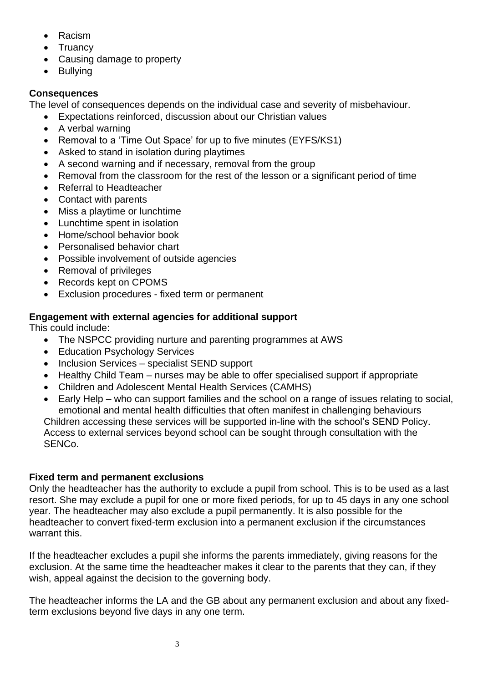- Racism
- **Truancy**
- Causing damage to property
- Bullying

# **Consequences**

The level of consequences depends on the individual case and severity of misbehaviour.

- Expectations reinforced, discussion about our Christian values
- A verbal warning
- Removal to a 'Time Out Space' for up to five minutes (EYFS/KS1)
- Asked to stand in isolation during playtimes
- A second warning and if necessary, removal from the group
- Removal from the classroom for the rest of the lesson or a significant period of time
- Referral to Headteacher
- Contact with parents
- Miss a playtime or lunchtime
- Lunchtime spent in isolation
- Home/school behavior book
- Personalised behavior chart
- Possible involvement of outside agencies
- Removal of privileges
- Records kept on CPOMS
- Exclusion procedures fixed term or permanent

# **Engagement with external agencies for additional support**

This could include:

- The NSPCC providing nurture and parenting programmes at AWS
- Education Psychology Services
- Inclusion Services specialist SEND support
- Healthy Child Team nurses may be able to offer specialised support if appropriate
- Children and Adolescent Mental Health Services (CAMHS)
- Early Help who can support families and the school on a range of issues relating to social, emotional and mental health difficulties that often manifest in challenging behaviours

Children accessing these services will be supported in-line with the school's SEND Policy. Access to external services beyond school can be sought through consultation with the SENCo.

# **Fixed term and permanent exclusions**

Only the headteacher has the authority to exclude a pupil from school. This is to be used as a last resort. She may exclude a pupil for one or more fixed periods, for up to 45 days in any one school year. The headteacher may also exclude a pupil permanently. It is also possible for the headteacher to convert fixed-term exclusion into a permanent exclusion if the circumstances warrant this.

If the headteacher excludes a pupil she informs the parents immediately, giving reasons for the exclusion. At the same time the headteacher makes it clear to the parents that they can, if they wish, appeal against the decision to the governing body.

The headteacher informs the LA and the GB about any permanent exclusion and about any fixedterm exclusions beyond five days in any one term.